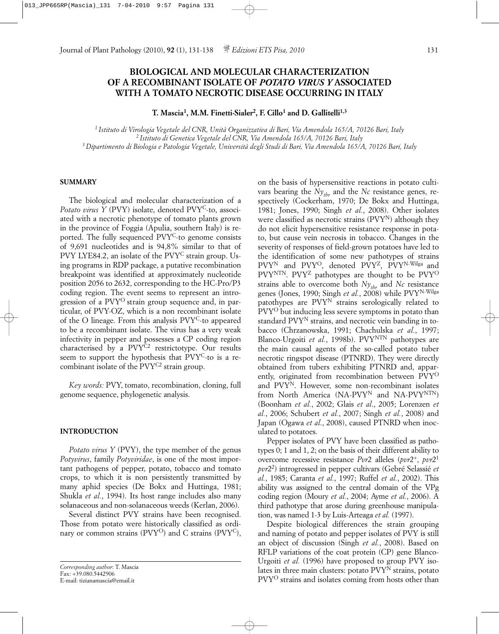# **BIOLOGICAL AND MOLECULAR CHARACTERIZATION OF A RECOMBINANT ISOLATE OF** *POTATO VIRUS Y* **ASSOCIATED WITH A TOMATO NECROTIC DISEASE OCCURRING IN ITALY**

**T. Mascia1, M.M. Finetti-Sialer2, F. Cillo1 and D. Gallitelli1,3**

*1 Istituto di Virologia Vegetale del CNR, Unità Organizzativa di Bari, Via Amendola 165/A, 70126 Bari, Italy 2 Istituto di Genetica Vegetale del CNR, Via Amendola 165/A, 70126 Bari, Italy 3 Dipartimento di Biologia e Patologia Vegetale, Università degli Studi di Bari, Via Amendola 165/A, 70126 Bari, Italy*

### **SUMMARY**

The biological and molecular characterization of a Potato virus Y (PVY) isolate, denoted PVY<sup>C</sup>-to, associated with a necrotic phenotype of tomato plants grown in the province of Foggia (Apulia, southern Italy) is reported. The fully sequenced PVY<sup>C</sup>-to genome consists of 9,691 nucleotides and is 94,8% similar to that of PVY LYE84.2, an isolate of the PVY<sup>C</sup> strain group. Using programs in RDP package, a putative recombination breakpoint was identified at approximately nucleotide position 2056 to 2632, corresponding to the HC-Pro/P3 coding region. The event seems to represent an introgression of a PVYO strain group sequence and, in particular, of PVY-OZ, which is a non recombinant isolate of the O lineage. From this analysis PVYC-to appeared to be a recombinant isolate. The virus has a very weak infectivity in pepper and possesses a CP coding region characterised by a PVY<sup>C2</sup> restrictotype. Our results seem to support the hypothesis that PVY<sup>C</sup>-to is a recombinant isolate of the PVY<sup>C2</sup> strain group.

*Key words:* PVY, tomato, recombination, cloning, full genome sequence, phylogenetic analysis.

### **INTRODUCTION**

*Potato virus Y* (PVY), the type member of the genus *Potyvirus*, family *Potyviridae*, is one of the most important pathogens of pepper, potato, tobacco and tomato crops, to which it is non persistently transmitted by many aphid species (De Bokx and Huttinga, 1981; Shukla *et al.*, 1994). Its host range includes also many solanaceous and non-solanaceous weeds (Kerlan, 2006).

Several distinct PVY strains have been recognised. Those from potato were historically classified as ordinary or common strains (PVY<sup>O</sup>) and C strains (PVY<sup>C</sup>),

on the basis of hypersensitive reactions in potato cultivars bearing the  $Ny_{thr}$  and the  $Nc$  resistance genes, respectively (Cockerham, 1970; De Bokx and Huttinga, 1981; Jones, 1990; Singh *et al.*, 2008). Other isolates were classified as necrotic strains (PVY<sup>N</sup>) although they do not elicit hypersensitive resistance response in potato, but cause vein necrosis in tobacco. Changes in the severity of responses of field-grown potatoes have led to the identification of some new pathotypes of strains PVY<sup>N</sup> and PVY<sup>O</sup>, denoted PVY<sup>Z</sup>, PVY<sup>N-Wilga</sup> and PVY<sup>NTN</sup>. PVY<sup>Z</sup> pathotypes are thought to be PVY<sup>O</sup> strains able to overcome both  $Ny_{thr}$  and *Nc* resistance genes (Jones, 1990; Singh *et al.*, 2008) while PVYN-Wilga patothypes are PVYN strains serologically related to PVYO but inducing less severe symptoms in potato than standard PVYN strains, and necrotic vein banding in tobacco (Chrzanowska, 1991; Chachulska *et al.*, 1997; Blanco-Urgoiti *et al.*, 1998b). PVY<sup>NTN</sup> pathotypes are the main causal agents of the so-called potato tuber necrotic ringspot disease (PTNRD). They were directly obtained from tubers exhibiting PTNRD and, apparently, originated from recombination between PVYO and PVYN. However, some non-recombinant isolates from North America (NA-PVY<sup>N</sup> and NA-PVY<sup>NTN</sup>) (Boonham *et al.*, 2002; Glais *et al*., 2005; Lorenzen *et al.*, 2006; Schubert *et al.*, 2007; Singh *et al.*, 2008) and Japan (Ogawa *et al*., 2008), caused PTNRD when inoculated to potatoes.

Pepper isolates of PVY have been classified as pathotypes 0; 1 and 1, 2; on the basis of their different ability to overcome recessive resistance *Pvr*2 alleles (*pvr*2+, *pvr*21 *pvr*22) introgressed in pepper cultivars (Gebré Selassié *et al.*, 1985; Caranta *et al.*, 1997; Ruffel *et al.*, 2002). This ability was assigned to the central domain of the VPg coding region (Moury *et al.*, 2004; Ayme *et al.*, 2006). A third pathotype that arose during greenhouse manipulation, was named 1-3 by Luis-Arteaga *et al.* (1997).

Despite biological differences the strain grouping and naming of potato and pepper isolates of PVY is still an object of discussion (Singh *et al.*, 2008). Based on RFLP variations of the coat protein (CP) gene Blanco-Urgoiti *et al.* (1996) have proposed to group PVY isolates in three main clusters: potato PVYN strains, potato PVY<sup>O</sup> strains and isolates coming from hosts other than

*Corresponding author*: T. Mascia Fax: +39.080.5442906 E-mail: tizianamascia@email.it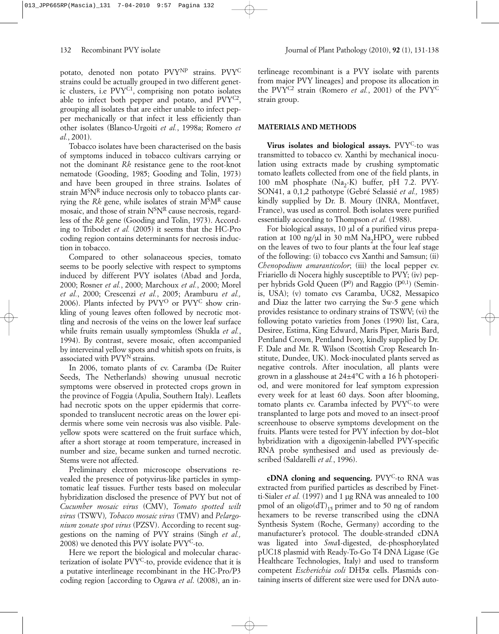potato, denoted non potato PVYNP strains. PVYC strains could be actually grouped in two different genetic clusters, i.e PVYC1, comprising non potato isolates able to infect both pepper and potato, and PVYC2, grouping all isolates that are either unable to infect pepper mechanically or that infect it less efficiently than other isolates (Blanco-Urgoiti *et al.*, 1998a; Romero *et al.*, 2001).

Tobacco isolates have been characterised on the basis of symptoms induced in tobacco cultivars carrying or not the dominant *Rk* resistance gene to the root-knot nematode (Gooding, 1985; Gooding and Tolin, 1973) and have been grouped in three strains. Isolates of strain  $M^S N^R$  induce necrosis only to tobacco plants carrying the *Rk* gene, while isolates of strain MSMR cause mosaic, and those of strain N<sup>S</sup>NR cause necrosis, regardless of the *Rk* gene (Gooding and Tolin, 1973). According to Tribodet *et al.* (2005) it seems that the HC-Pro coding region contains determinants for necrosis induction in tobacco.

Compared to other solanaceous species, tomato seems to be poorly selective with respect to symptoms induced by different PVY isolates (Abad and Jorda, 2000; Rosner *et al.*, 2000; Marchoux *et al.*, 2000; Morel *et al.*, 2000; Crescenzi *et al.*, 2005; Aramburu *et al.,* 2006). Plants infected by  $P VY^O$  or  $P VY^C$  show crinkling of young leaves often followed by necrotic mottling and necrosis of the veins on the lower leaf surface while fruits remain usually symptomless (Shukla *et al.*, 1994). By contrast, severe mosaic, often accompanied by interveinal yellow spots and whitish spots on fruits, is associated with PVY<sup>N</sup> strains.

In 2006, tomato plants of cv. Caramba (De Ruiter Seeds, The Netherlands) showing unusual necrotic symptoms were observed in protected crops grown in the province of Foggia (Apulia, Southern Italy). Leaflets had necrotic spots on the upper epidermis that corresponded to translucent necrotic areas on the lower epidermis where some vein necrosis was also visible. Paleyellow spots were scattered on the fruit surface which, after a short storage at room temperature, increased in number and size, became sunken and turned necrotic. Stems were not affected.

Preliminary electron microscope observations revealed the presence of potyvirus-like particles in symptomatic leaf tissues. Further tests based on molecular hybridization disclosed the presence of PVY but not of *Cucumber mosaic virus* (CMV), *Tomato spotted wilt virus* (TSWV)*, Tobacco mosaic virus* (TMV) and *Pelargonium zonate spot virus* (PZSV). According to recent suggestions on the naming of PVY strains (Singh *et al.,* 2008) we denoted this PVY isolate  $Pvr^C$ -to.

Here we report the biological and molecular characterization of isolate PVYC-to, provide evidence that it is a putative interlineage recombinant in the HC-Pro/P3 coding region [according to Ogawa *et al*. (2008), an interlineage recombinant is a PVY isolate with parents from major PVY lineages] and propose its allocation in the PVYC2 strain (Romero *et al.*, 2001) of the PVYC strain group.

## **MATERIALS AND METHODS**

**Virus isolates and biological assays.** PVYC-to was transmitted to tobacco cv. Xanthi by mechanical inoculation using extracts made by crushing symptomatic tomato leaflets collected from one of the field plants, in 100 mM phosphate  $(Na_2-K)$  buffer, pH 7.2. PVY-SON41, a 0,1,2 pathotype (Gebré Selassié *et al.,* 1985) kindly supplied by Dr. B. Moury (INRA, Montfavet, France), was used as control. Both isolates were purified essentially according to Thompson *et al.* (1988).

For biological assays,  $10 \mu l$  of a purified virus preparation at 100 ng/ $\mu$ l in 30 mM Na<sub>2</sub>HPO<sub>4</sub> were rubbed on the leaves of two to four plants at the four leaf stage of the following: (i) tobacco cvs Xanthi and Samsun; (ii) *Chenopodium amaranticolor*; (iii) the local pepper cv. Friariello di Nocera highly susceptible to PVY; (iv) pepper hybrids Gold Queen  $(P<sup>0</sup>)$  and Raggio  $(P<sup>0,1</sup>)$  (Seminis, USA); (v) tomato cvs Caramba, UC82, Messapico and Diaz the latter two carrying the Sw-5 gene which provides resistance to ordinary strains of TSWV; (vi) the following potato varieties from Jones (1990) list, Cara, Desiree, Estima, King Edward, Maris Piper, Maris Bard, Pentland Crown, Pentland Ivory, kindly supplied by Dr. F. Dale and Mr. R. Wilson (Scottish Crop Research Institute, Dundee, UK). Mock-inoculated plants served as negative controls. After inoculation, all plants were grown in a glasshouse at 24±4°C with a 16 h photoperiod, and were monitored for leaf symptom expression every week for at least 60 days. Soon after blooming, tomato plants cv. Caramba infected by PVYC-to were transplanted to large pots and moved to an insect-proof screenhouse to observe symptoms development on the fruits. Plants were tested for PVY infection by dot–blot hybridization with a digoxigenin-labelled PVY-specific RNA probe synthesised and used as previously described (Saldarelli *et al.*, 1996).

**cDNA cloning and sequencing.** PVY<sup>C</sup>-to RNA was extracted from purified particles as described by Finetti-Sialer *et al.* (1997) and 1 µg RNA was annealed to 100 pmol of an oligo( $dT$ <sub>15</sub> primer and to 50 ng of random hexamers to be reverse transcribed using the cDNA Synthesis System (Roche, Germany) according to the manufacturer's protocol. The double-stranded cDNA was ligated into *Sma*I-digested, de-phosphorylated pUC18 plasmid with Ready-To-Go T4 DNA Ligase (Ge Healthcare Technologies, Italy) and used to transform competent *Escherichia coli* DH5a cells. Plasmids containing inserts of different size were used for DNA auto-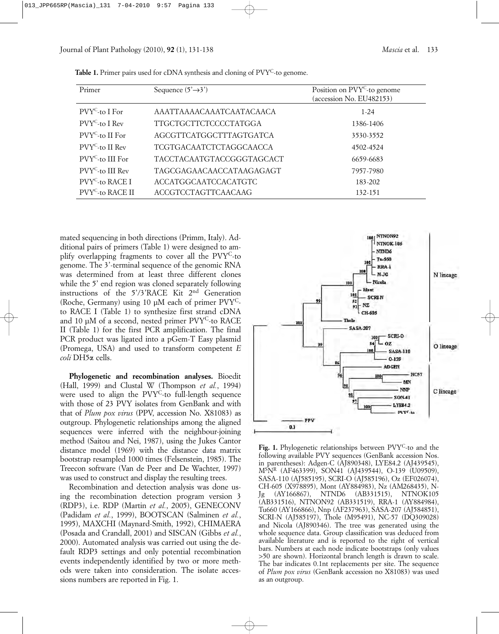| Primer                       | Sequence $(5' \rightarrow 3')$ | Position on PVY <sup>C</sup> -to genome<br>(accession No. EU482153) |
|------------------------------|--------------------------------|---------------------------------------------------------------------|
| $PVYC$ -to I For             | AAATTAAAACAAATCAATACAACA       | $1-24$                                                              |
| $P VY^C$ -to I Rev           | TTGCTGCTTCTCCCCTATGGA          | 1386-1406                                                           |
| $PVYC$ -to II For            | AGCGTTCATGGCTTTAGTGATCA        | 3530-3552                                                           |
| $PVYC$ -to II Rev            | TCGTGACAATCTCTAGGCAACCA        | 4502-4524                                                           |
| $PVYC$ -to III For           | TACCTACAATGTACCGGGTAGCACT      | 6659-6683                                                           |
| $P VY^C$ -to III Rev         | TAGCGAGAACAACCATAAGAGAGT       | 7957-7980                                                           |
| PVY <sup>C</sup> -to RACE I  | <b>ACCATGGCAATCCACATGTC</b>    | 183-202                                                             |
| PVY <sup>C</sup> -to RACE II | <b>ACCGTCCTAGTTCAACAAG</b>     | 132-151                                                             |

Table 1. Primer pairs used for cDNA synthesis and cloning of PVY<sup>C</sup>-to genome.

mated sequencing in both directions (Primm, Italy). Additional pairs of primers (Table 1) were designed to amplify overlapping fragments to cover all the PVYC-to genome. The 3'-terminal sequence of the genomic RNA was determined from at least three different clones while the 5' end region was cloned separately following instructions of the 5'/3'RACE Kit 2nd Generation (Roche, Germany) using 10 µM each of primer PVYCto RACE I (Table 1) to synthesize first strand cDNA and 10 µM of a second, nested primer PVYC-to RACE II (Table 1) for the first PCR amplification. The final PCR product was ligated into a pGem-T Easy plasmid (Promega, USA) and used to transform competent *E coli* DH5a cells.

**Phylogenetic and recombination analyses.** Bioedit (Hall, 1999) and Clustal W (Thompson *et al.*, 1994) were used to align the PVY<sup>C</sup>-to full-length sequence with those of 23 PVY isolates from GenBank and with that of *Plum pox virus* (PPV, accession No. X81083) as outgroup. Phylogenetic relationships among the aligned sequences were inferred with the neighbour-joining method (Saitou and Nei, 1987), using the Jukes Cantor distance model (1969) with the distance data matrix bootstrap resampled 1000 times (Felsenstein, 1985). The Treecon software (Van de Peer and De Wachter, 1997) was used to construct and display the resulting trees.

Recombination and detection analysis was done using the recombination detection program version 3 (RDP3), i.e. RDP (Martin *et al.*, 2005), GENECONV (Padidam *et al.*, 1999), BOOTSCAN (Salminen *et al.*, 1995), MAXCHI (Maynard-Smith, 1992), CHIMAERA (Posada and Crandall, 2001) and SISCAN (Gibbs *et al.*, 2000). Automated analysis was carried out using the default RDP3 settings and only potential recombination events independently identified by two or more methods were taken into consideration. The isolate accessions numbers are reported in Fig. 1.



Fig. 1. Phylogenetic relationships between PVY<sup>C</sup>-to and the following available PVY sequences (GenBank accession Nos. in parentheses): Adgen-C (AJ890348), LYE84.2 (AJ439545), MSNR (AF463399), SON41 (AJ439544), O-139 (U09509), SASA-110 (AJ585195), SCRI-O (AJ585196), Oz (EF026074), CH-605 (X978895), Mont (AY884983), Nz (AM268435), N-Jg (AY166867), NTND6 (AB331515), NTNOK105 (AB331516), NTNON92 (AB331519), RRA-1 (AY884984), Tu660 (AY166866), Nnp (AF237963), SASA-207 (AJ584851), SCRI-N (AJ585197), Thole (M95491), NC-57 (DQ309028) and Nicola (AJ890346). The tree was generated using the whole sequence data. Group classification was deduced from available literature and is reported to the right of vertical bars. Numbers at each node indicate bootstraps (only values >50 are shown). Horizontal branch length is drawn to scale. The bar indicates 0.1nt replacements per site. The sequence of *Plum pox virus* (GenBank accession no X81083) was used as an outgroup.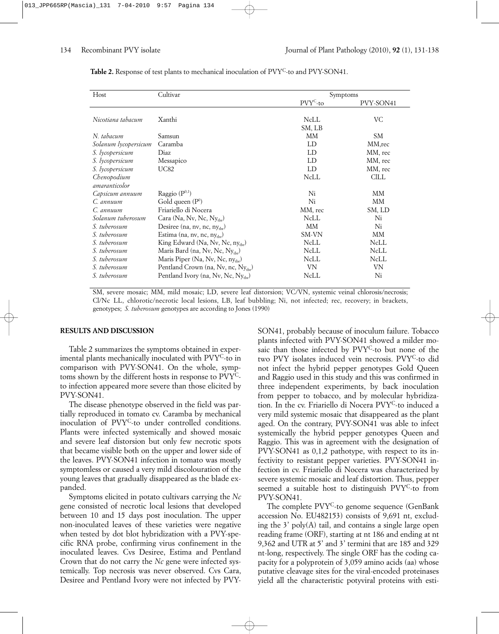| Host                 | Cultivar                                        |                      | Symptoms  |  |
|----------------------|-------------------------------------------------|----------------------|-----------|--|
|                      |                                                 | PVY <sup>C</sup> -to | PVY-SON41 |  |
|                      |                                                 |                      |           |  |
| Nicotiana tabacum    | Xanthi                                          | NcLL                 | VC        |  |
|                      |                                                 | SM, LB               |           |  |
| N. tabacum           | Samsun                                          | MМ                   | SM.       |  |
| Solanum lycopersicum | Caramba                                         | LD                   | MM,rec    |  |
| S. lycopersicum      | Diaz                                            | LD                   | MM, rec   |  |
| S. lycopersicum      | Messapico                                       | LD                   | MM, rec   |  |
| S. lycopersicum      | <b>UC82</b>                                     | LD                   | MM, rec   |  |
| Chenopodium          |                                                 | NcLL                 | CILL      |  |
| amaranticolor        |                                                 |                      |           |  |
| Capsicum annuum      | Raggio $(P^{0,1})$                              | Ni                   | MМ        |  |
| $C_{a}$ annuum       | Gold queen $(P^0)$                              | Ni                   | MМ        |  |
| C. annuum            | Friariello di Nocera                            | MM, rec              | SM, LD    |  |
| Solanum tuberosum    | Cara (Na, Nv, Nc, $Ny_{\text{thr}}$ )           | <b>NcLL</b>          | Ni        |  |
| S. tuberosum         | Desiree (na, nv, nc, $ny_{\text{thr}}$ )        | MМ                   | Ni        |  |
| S. tuberosum         | Estima (na, nv, nc, ny <sub>tbr</sub> )         | SM-VN                | MМ        |  |
| S. tuberosum         | King Edward (Na, Nv, Nc, ny <sub>thr</sub> )    | NcLL                 | NcLL      |  |
| S. tuberosum         | Maris Bard (na, Nv, Nc, Ny <sub>thr</sub> )     | NcLL                 | NcLL      |  |
| S. tuberosum         | Maris Piper (Na, Nv, Nc, $ny_{\text{thr}}$ )    | NcLL                 | NcLL      |  |
| S. tuberosum         | Pentland Crown (na, Nv, nc, Ny <sub>thr</sub> ) | VN                   | <b>VN</b> |  |
| S. tuberosum         | Pentland Ivory (na, Nv, Nc, Ny <sub>thr</sub> ) | NcLL                 | Ni        |  |

Table 2. Response of test plants to mechanical inoculation of PVY<sup>C</sup>-to and PVY-SON41.

SM, severe mosaic; MM, mild mosaic; LD, severe leaf distorsion; VC/VN, systemic veinal chlorosis/necrosis; Cl/Nc LL, chlorotic/necrotic local lesions, LB, leaf bubbling; Ni, not infected; rec, recovery; in brackets, genotypes; *S. tuberosum* genotypes are according to Jones (1990)

### **RESULTS AND DISCUSSION**

Table 2 summarizes the symptoms obtained in experimental plants mechanically inoculated with PVYC-to in comparison with PVY-SON41. On the whole, symptoms shown by the different hosts in response to PVYCto infection appeared more severe than those elicited by PVY-SON41.

The disease phenotype observed in the field was partially reproduced in tomato cv. Caramba by mechanical inoculation of PVYC-to under controlled conditions. Plants were infected systemically and showed mosaic and severe leaf distorsion but only few necrotic spots that became visible both on the upper and lower side of the leaves. PVY-SON41 infection in tomato was mostly symptomless or caused a very mild discolouration of the young leaves that gradually disappeared as the blade expanded.

Symptoms elicited in potato cultivars carrying the *Nc* gene consisted of necrotic local lesions that developed between 10 and 15 days post inoculation. The upper non-inoculated leaves of these varieties were negative when tested by dot blot hybridization with a PVY-specific RNA probe, confirming virus confinement in the inoculated leaves. Cvs Desiree, Estima and Pentland Crown that do not carry the *Nc* gene were infected systemically. Top necrosis was never observed. Cvs Cara, Desiree and Pentland Ivory were not infected by PVY-

SON41, probably because of inoculum failure. Tobacco plants infected with PVY-SON41 showed a milder mosaic than those infected by PVY<sup>C</sup>-to but none of the two PVY isolates induced vein necrosis. PVYC-to did not infect the hybrid pepper genotypes Gold Queen and Raggio used in this study and this was confirmed in three independent experiments, by back inoculation from pepper to tobacco, and by molecular hybridization. In the cv. Friariello di Nocera PVYC-to induced a very mild systemic mosaic that disappeared as the plant aged. On the contrary, PVY-SON41 was able to infect systemically the hybrid pepper genotypes Queen and Raggio. This was in agreement with the designation of PVY-SON41 as 0,1,2 pathotype, with respect to its infectivity to resistant pepper varieties. PVY-SON41 infection in cv. Friariello di Nocera was characterized by severe systemic mosaic and leaf distortion. Thus, pepper seemed a suitable host to distinguish PVYC-to from PVY-SON41.

The complete PVY<sup>C</sup>-to genome sequence (GenBank accession No. EU482153) consists of 9,691 nt, excluding the 3' poly(A) tail, and contains a single large open reading frame (ORF), starting at nt 186 and ending at nt 9,362 and UTR at 5' and 3' termini that are 185 and 329 nt-long, respectively. The single ORF has the coding capacity for a polyprotein of 3,059 amino acids (aa) whose putative cleavage sites for the viral-encoded proteinases yield all the characteristic potyviral proteins with esti-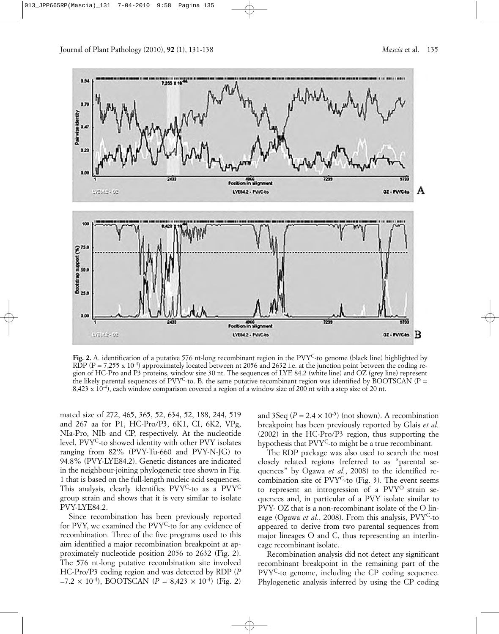

**Fig. 2.** A. identification of a putative 576 nt-long recombinant region in the PVYC-to genome (black line) highlighted by RDP ( $P = 7.255 \times 10^{-4}$ ) approximately located between nt 2056 and 2632 i.e. at the junction point between the coding region of HC-Pro and P3 proteins, window size 30 nt. The sequences of LYE 84.2 (white line) and OZ (grey line) represent the likely parental sequences of  $PVY^C$ -to. B. the same putative recombinant region was identified by BOOTSCAN (P = 8,423 x 10-4), each window comparison covered a region of a window size of 200 nt with a step size of 20 nt.

mated size of 272, 465, 365, 52, 634, 52, 188, 244, 519 and 267 aa for P1, HC-Pro/P3, 6K1, CI, 6K2, VPg, NIa-Pro, NIb and CP, respectively. At the nucleotide level, PVY<sup>C</sup>-to showed identity with other PVY isolates ranging from 82% (PVY-Tu-660 and PVY-N-JG) to 94.8% (PVY-LYE84.2). Genetic distances are indicated in the neighbour-joining phylogenetic tree shown in Fig. 1 that is based on the full-length nucleic acid sequences. This analysis, clearly identifies PVY<sup>C</sup>-to as a PVY<sup>C</sup> group strain and shows that it is very similar to isolate PVY-LYE84.2.

Since recombination has been previously reported for PVY, we examined the PVYC-to for any evidence of recombination. Three of the five programs used to this aim identified a major recombination breakpoint at approximately nucleotide position 2056 to 2632 (Fig. 2). The 576 nt-long putative recombination site involved HC-Pro/P3 coding region and was detected by RDP (*P*  $=7.2 \times 10^{-4}$ , BOOTSCAN (*P* = 8,423  $\times 10^{-4}$ ) (Fig. 2) and 3Seq  $(P = 2.4 \times 10^{-5})$  (not shown). A recombination breakpoint has been previously reported by Glais *et al.* (2002) in the HC-Pro/P3 region, thus supporting the hypothesis that PVYC-to might be a true recombinant.

The RDP package was also used to search the most closely related regions (referred to as "parental sequences" by Ogawa *et al.*, 2008) to the identified recombination site of  $PVY^C$ -to (Fig. 3). The event seems to represent an introgression of a PVYO strain sequences and, in particular of a PVY isolate similar to PVY- OZ that is a non-recombinant isolate of the O lineage (Ogawa *et al.*, 2008). From this analysis, PVYC-to appeared to derive from two parental sequences from major lineages O and C, thus representing an interlineage recombinant isolate.

Recombination analysis did not detect any significant recombinant breakpoint in the remaining part of the PVYC-to genome, including the CP coding sequence. Phylogenetic analysis inferred by using the CP coding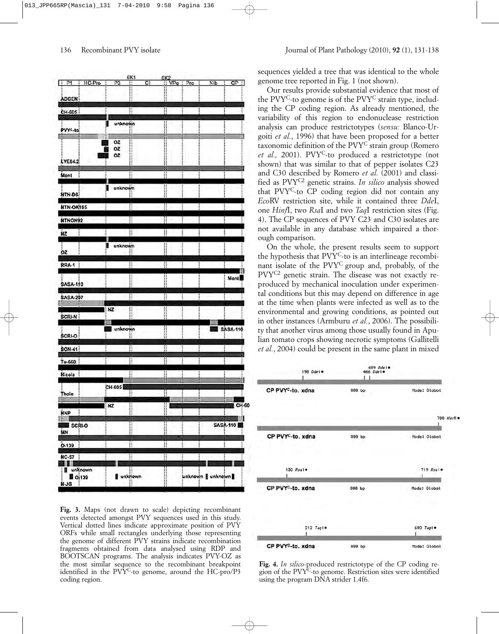

**Fig. 3.** Maps (not drawn to scale) depicting recombinant events detected amongst PVY sequences used in this study. Vertical dotted lines indicate approximate position of PVY ORFs while small rectangles underlying those representing the genome of different PVY strains indicate recombination fragments obtained from data analysed using RDP and BOOTSCAN programs. The analysis indicates PVY-OZ as the most similar sequence to the recombinant breakpoint identified in the  $PVT^C$ -to genome, around the  $HC$ -pro/ $P<sup>3</sup>$ coding region.

sequences yielded a tree that was identical to the whole genome tree reported in Fig. 1 (not shown).

Our results provide substantial evidence that most of the PVY<sup>C</sup>-to genome is of the PVY<sup>C</sup> strain type, including the CP coding region. As already mentioned, the variability of this region to endonuclease restriction analysis can produce restrictotypes (*sensu:* Blanco-Urgoiti *et al.*, 1996) that have been proposed for a better taxonomic definition of the PVYC strain group (Romero et al., 2001). PVY<sup>C</sup>-to produced a restrictotype (not shown) that was similar to that of pepper isolates C23 and C30 described by Romero *et al.* (2001) and classified as PVYC2 genetic strains. *In silico* analysis showed that PVYC-to CP coding region did not contain any *Eco*RV restriction site, while it contained three *Dde*I, one *Hinf*I, two *Rsa*I and two *Taq*I restriction sites (Fig. 4). The CP sequences of PVY C23 and C30 isolates are not available in any database which impaired a thorough comparison.

On the whole, the present results seem to support the hypothesis that PVYC-to is an interlineage recombinant isolate of the PVYC group and, probably, of the PVYC2 genetic strain. The disease was not exactly reproduced by mechanical inoculation under experimental conditions but this may depend on difference in age at the time when plants were infected as well as to the environmental and growing conditions, as pointed out in other instances (Armburu *et al.*, 2006). The possibility that another virus among those usually found in Apulian tomato crops showing necrotic symptoms (Gallitelli *et al.*, 2004) could be present in the same plant in mixed



**Fig. 4.** *In silico*-produced restrictotype of the CP coding region of the PVYC-to genome. Restriction sites were identified using the program DNA strider 1.4f6.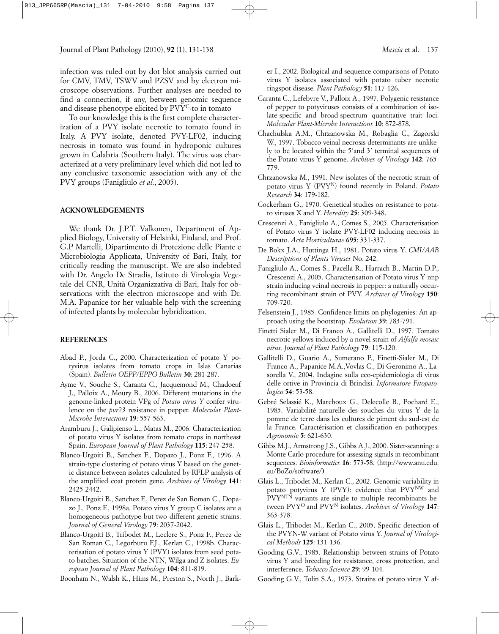infection was ruled out by dot blot analysis carried out for CMV, TMV, TSWV and PZSV and by electron microscope observations. Further analyses are needed to find a connection, if any, between genomic sequence and disease phenotype elicited by PVY<sup>C</sup>-to in tomato

To our knowledge this is the first complete characterization of a PVY isolate necrotic to tomato found in Italy. A PVY isolate, denoted PVY-LF02, inducing necrosis in tomato was found in hydroponic cultures grown in Calabria (Southern Italy). The virus was characterized at a very preliminary level which did not led to any conclusive taxonomic association with any of the PVY groups (Fanigliulo *et al.*, 2005).

### **ACKNOWLEDGEMENTS**

We thank Dr. J.P.T. Valkonen, Department of Applied Biology, University of Helsinki, Finland, and Prof. G.P Martelli, Dipartimento di Protezione delle Piante e Microbiologia Applicata, University of Bari, Italy, for critically reading the manuscript. We are also indebted with Dr. Angelo De Stradis, Istituto di Virologia Vegetale del CNR, Unità Organizzativa di Bari, Italy for observations with the electron microscope and with Dr. M.A. Papanice for her valuable help with the screening of infected plants by molecular hybridization.

### **REFERENCES**

- Abad P., Jorda C., 2000. Characterization of potato Y potyvirus isolates from tomato crops in Islas Canarias (Spain). *Bulletin OEPP/EPPO Bulletin* **30**: 281-287.
- Ayme V., Souche S., Caranta C., Jacquemond M., Chadoeuf J., Palloix A., Moury B., 2006. Different mutations in the genome-linked protein VPg of *Potato virus Y* confer virulence on the *pvr23* resistance in pepper. *Molecular Plant-Microbe Interactions* **19**: 557-563.
- Aramburu J., Galipienso L., Matas M., 2006. Characterization of potato virus Y isolates from tomato crops in northeast Spain. *European Journal of Plant Pathology* **115**: 247-258.
- Blanco-Urgoiti B., Sanchez F., Dopazo J., Ponz F., 1996. A strain-type clustering of potato virus Y based on the genetic distance between isolates calculated by RFLP analysis of the amplified coat protein gene. *Archives of Virology* **141**: 2425-2442.
- Blanco-Urgoiti B., Sanchez F., Perez de San Roman C., Dopazo J., Ponz F., 1998a. Potato virus Y group C isolates are a homogeneous pathotype but two different genetic strains. *Journal of General Virology* 7**9**: 2037-2042.
- Blanco-Urgoiti B., Tribodet M., Leclere S., Ponz F., Perez de San Roman C., Legorburu F.J., Kerlan C., 1998b. Characterisation of potato virus Y (PVY) isolates from seed potato batches. Situation of the NTN, Wilga and Z isolates. *European Journal of Plant Pathology* **104**: 811-819.

Boonham N., Walsh K., Hims M., Preston S., North J., Bark-

er I., 2002. Biological and sequence comparisons of Potato virus Y isolates associated with potato tuber necrotic ringspot disease. *Plant Pathology* **51**: 117-126.

- Caranta C., Lefebvre V., Palloix A., 1997. Polygenic resistance of pepper to potyviruses consists of a combination of isolate-specific and broad-spectrum quantitative trait loci. *Molecular Plant-Microbe Interactions* **10**: 872-878.
- Chachulska A.M., Chrzanowska M., Robaglia C., Zagorski W., 1997. Tobacco veinal necrosis determinants are unlikely to be located within the 5'and 3' terminal sequences of the Potato virus Y genome. *Archives of Virology* **142**: 765- 779.
- Chrzanowska M., 1991. New isolates of the necrotic strain of potato virus Y (PVYN) found recently in Poland. *Potato Research* **34**: 179-182.
- Cockerham G., 1970. Genetical studies on resistance to potato viruses X and Y. *Heredity* **25**: 309-348.
- Crescenzi A., Fanigliulo A., Comes S., 2005. Characterisation of Potato virus Y isolate PVY-LF02 inducing necrosis in tomato. *Acta Horticulturae* **695**: 331-337.
- De Bokx J.A., Huttinga H., 1981. Potato virus Y. *CMI/AAB Descriptions of Plants Viruses* No. 242.
- Fanigliulo A., Comes S., Pacella R., Harrach B., Martin D.P., Crescenzi A., 2005. Characterisation of Potato virus Y nnp strain inducing veinal necrosis in pepper: a naturally occurring recombinant strain of PVY. *Archives of Virology* **150**: 709-720.
- Felsenstein J., 1985*.* Confidence limits on phylogenies: An approach using the bootstrap. *Evolution* **39**: 783-791.
- Finetti Sialer M., Di Franco A., Gallitelli D., 1997. Tomato necrotic yellows induced by a novel strain of *Alfalfa mosaic virus. Journal of Plant Pathology* **79**: 115-120.
- Gallitelli D., Guario A., Sumerano P., Finetti-Sialer M., Di Franco A., Papanice M.A.,Vovlas C., Di Geronimo A., Lasorella V., 2004. Indagine sulla eco-epidemiologia di virus delle ortive in Provincia di Brindisi. *Informatore Fitopatologico* **54**: 53-58.
- Gebré Selassié K., Marchoux G., Delecolle B., Pochard E., 1985. Variabilité naturelle des souches du virus Y de la pomme de terre dans les cultures de piment du sud-est de la France. Caractérisation et classification en pathotypes. *Agronomie* **5**: 621-630.
- Gibbs M.J., Armstrong J.S., Gibbs A.J., 2000. Sister-scanning: a Monte Carlo procedure for assessing signals in recombinant sequences. *Bioinformatics* **16**: 573-58. (http://www.anu.edu. au/BoZo/software/**)**
- Glais L., Tribodet M., Kerlan C., 2002. Genomic variability in potato potyvirus Y (PVY): evidence that PVYNW and PVYNTN variants are single to multiple recombinants between PVYO and PVYN isolates. *Archives of Virology* **147**: 363-378.
- Glais L., Tribodet M., Kerlan C., 2005. Specific detection of the PVYN-W variant of Potato virus Y. *Journal of Virological Methods* **125**: 131-136.
- Gooding G.V., 1985. Relationship between strains of Potato virus Y and breeding for resistance, cross protection, and interference. *Tobacco Science* **29**: 99-104.
- Gooding G.V., Tolin S.A., 1973. Strains of potato virus Y af-